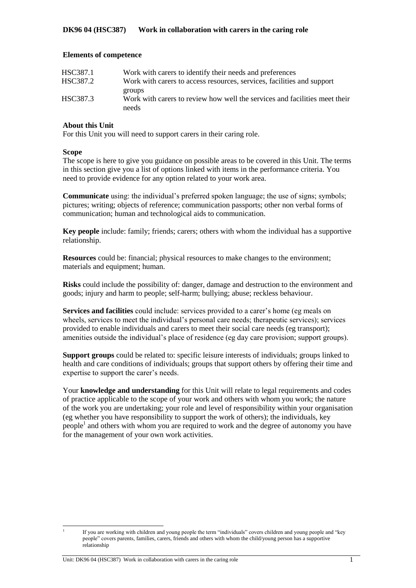#### **Elements of competence**

| HSC387.1 | Work with carers to identify their needs and preferences                   |
|----------|----------------------------------------------------------------------------|
| HSC387.2 | Work with carers to access resources, services, facilities and support     |
|          | groups                                                                     |
| HSC387.3 | Work with carers to review how well the services and facilities meet their |
|          | needs                                                                      |

### **About this Unit**

For this Unit you will need to support carers in their caring role.

#### **Scope**

|<br>|<br>|

The scope is here to give you guidance on possible areas to be covered in this Unit. The terms in this section give you a list of options linked with items in the performance criteria. You need to provide evidence for any option related to your work area.

**Communicate** using: the individual's preferred spoken language; the use of signs; symbols; pictures; writing; objects of reference; communication passports; other non verbal forms of communication; human and technological aids to communication.

**Key people** include: family; friends; carers; others with whom the individual has a supportive relationship.

**Resources** could be: financial; physical resources to make changes to the environment; materials and equipment; human.

**Risks** could include the possibility of: danger, damage and destruction to the environment and goods; injury and harm to people; self-harm; bullying; abuse; reckless behaviour.

**Services and facilities** could include: services provided to a carer's home (eg meals on wheels, services to meet the individual's personal care needs; therapeutic services); services provided to enable individuals and carers to meet their social care needs (eg transport); amenities outside the individual's place of residence (eg day care provision; support groups).

**Support groups** could be related to: specific leisure interests of individuals; groups linked to health and care conditions of individuals; groups that support others by offering their time and expertise to support the carer's needs.

Your **knowledge and understanding** for this Unit will relate to legal requirements and codes of practice applicable to the scope of your work and others with whom you work; the nature of the work you are undertaking; your role and level of responsibility within your organisation (eg whether you have responsibility to support the work of others); the individuals, key people<sup>1</sup> and others with whom you are required to work and the degree of autonomy you have for the management of your own work activities.

If you are working with children and young people the term "individuals" covers children and young people and "key people" covers parents, families, carers, friends and others with whom the child/young person has a supportive relationship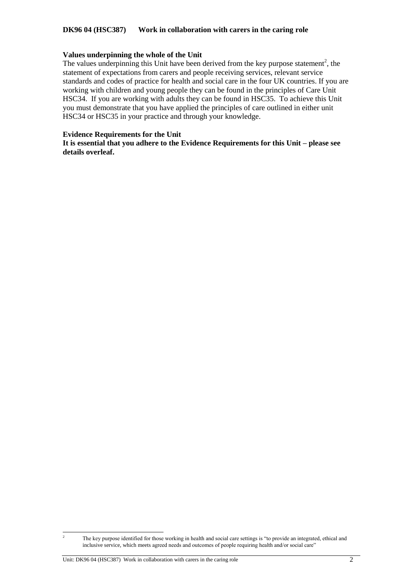### **DK96 04 (HSC387) Work in collaboration with carers in the caring role**

#### **Values underpinning the whole of the Unit**

The values underpinning this Unit have been derived from the key purpose statement<sup>2</sup>, the statement of expectations from carers and people receiving services, relevant service standards and codes of practice for health and social care in the four UK countries. If you are working with children and young people they can be found in the principles of Care Unit HSC34. If you are working with adults they can be found in HSC35. To achieve this Unit you must demonstrate that you have applied the principles of care outlined in either unit HSC34 or HSC35 in your practice and through your knowledge.

#### **Evidence Requirements for the Unit**

**It is essential that you adhere to the Evidence Requirements for this Unit – please see details overleaf.** 

 $\,2\,$ <sup>2</sup> The key purpose identified for those working in health and social care settings is "to provide an integrated, ethical and inclusive service, which meets agreed needs and outcomes of people requiring health and/or social care"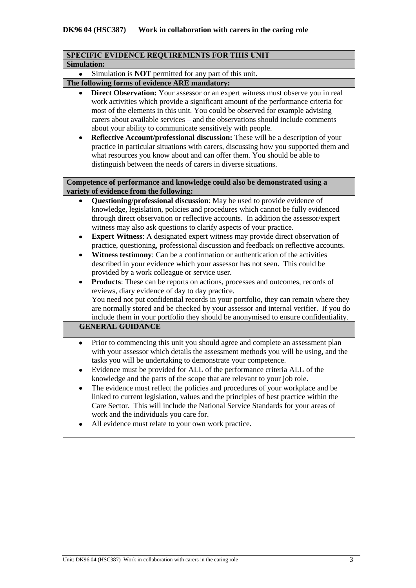| SPECIFIC EVIDENCE REQUIREMENTS FOR THIS UNIT                                                                                                                                                                                                                                                                                                                                                                                                                                                                                                                                                                                                                                                                                                                                                                                                                                                                                                                                                                                                                                                                                                                                        |  |  |  |  |
|-------------------------------------------------------------------------------------------------------------------------------------------------------------------------------------------------------------------------------------------------------------------------------------------------------------------------------------------------------------------------------------------------------------------------------------------------------------------------------------------------------------------------------------------------------------------------------------------------------------------------------------------------------------------------------------------------------------------------------------------------------------------------------------------------------------------------------------------------------------------------------------------------------------------------------------------------------------------------------------------------------------------------------------------------------------------------------------------------------------------------------------------------------------------------------------|--|--|--|--|
| <b>Simulation:</b>                                                                                                                                                                                                                                                                                                                                                                                                                                                                                                                                                                                                                                                                                                                                                                                                                                                                                                                                                                                                                                                                                                                                                                  |  |  |  |  |
| Simulation is <b>NOT</b> permitted for any part of this unit.                                                                                                                                                                                                                                                                                                                                                                                                                                                                                                                                                                                                                                                                                                                                                                                                                                                                                                                                                                                                                                                                                                                       |  |  |  |  |
| The following forms of evidence ARE mandatory:                                                                                                                                                                                                                                                                                                                                                                                                                                                                                                                                                                                                                                                                                                                                                                                                                                                                                                                                                                                                                                                                                                                                      |  |  |  |  |
| Direct Observation: Your assessor or an expert witness must observe you in real<br>work activities which provide a significant amount of the performance criteria for<br>most of the elements in this unit. You could be observed for example advising<br>carers about available services – and the observations should include comments<br>about your ability to communicate sensitively with people.<br>Reflective Account/professional discussion: These will be a description of your<br>٠<br>practice in particular situations with carers, discussing how you supported them and<br>what resources you know about and can offer them. You should be able to<br>distinguish between the needs of carers in diverse situations.                                                                                                                                                                                                                                                                                                                                                                                                                                                 |  |  |  |  |
| Competence of performance and knowledge could also be demonstrated using a<br>variety of evidence from the following:                                                                                                                                                                                                                                                                                                                                                                                                                                                                                                                                                                                                                                                                                                                                                                                                                                                                                                                                                                                                                                                               |  |  |  |  |
| Questioning/professional discussion: May be used to provide evidence of<br>knowledge, legislation, policies and procedures which cannot be fully evidenced<br>through direct observation or reflective accounts. In addition the assessor/expert<br>witness may also ask questions to clarify aspects of your practice.<br><b>Expert Witness:</b> A designated expert witness may provide direct observation of<br>$\bullet$<br>practice, questioning, professional discussion and feedback on reflective accounts.<br>Witness testimony: Can be a confirmation or authentication of the activities<br>٠<br>described in your evidence which your assessor has not seen. This could be<br>provided by a work colleague or service user.<br><b>Products:</b> These can be reports on actions, processes and outcomes, records of<br>reviews, diary evidence of day to day practice.<br>You need not put confidential records in your portfolio, they can remain where they<br>are normally stored and be checked by your assessor and internal verifier. If you do<br>include them in your portfolio they should be anonymised to ensure confidentiality.<br><b>GENERAL GUIDANCE</b> |  |  |  |  |
| Prior to commencing this unit you should agree and complete an assessment plan<br>$\bullet$<br>with your assessor which details the assessment methods you will be using, and the<br>tasks you will be undertaking to demonstrate your competence.<br>Evidence must be provided for ALL of the performance criteria ALL of the<br>knowledge and the parts of the scope that are relevant to your job role.<br>The evidence must reflect the policies and procedures of your workplace and be<br>linked to current legislation, values and the principles of best practice within the<br>Care Sector. This will include the National Service Standards for your areas of<br>work and the individuals you care for.<br>All evidence must relate to your own work practice.                                                                                                                                                                                                                                                                                                                                                                                                            |  |  |  |  |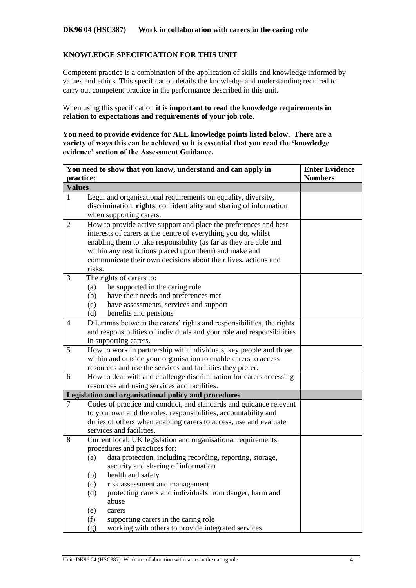## **KNOWLEDGE SPECIFICATION FOR THIS UNIT**

Competent practice is a combination of the application of skills and knowledge informed by values and ethics. This specification details the knowledge and understanding required to carry out competent practice in the performance described in this unit.

When using this specification **it is important to read the knowledge requirements in relation to expectations and requirements of your job role**.

**You need to provide evidence for ALL knowledge points listed below. There are a variety of ways this can be achieved so it is essential that you read the 'knowledge evidence' section of the Assessment Guidance.**

|                                                                                                                         | You need to show that you know, understand and can apply in<br><b>Enter Evidence</b>                                                                                                                                                                                                                                                                                                                                                                                                    |                |  |  |  |  |
|-------------------------------------------------------------------------------------------------------------------------|-----------------------------------------------------------------------------------------------------------------------------------------------------------------------------------------------------------------------------------------------------------------------------------------------------------------------------------------------------------------------------------------------------------------------------------------------------------------------------------------|----------------|--|--|--|--|
| practice:                                                                                                               |                                                                                                                                                                                                                                                                                                                                                                                                                                                                                         | <b>Numbers</b> |  |  |  |  |
| <b>Values</b>                                                                                                           |                                                                                                                                                                                                                                                                                                                                                                                                                                                                                         |                |  |  |  |  |
| $\mathbf{1}$                                                                                                            | Legal and organisational requirements on equality, diversity,<br>discrimination, rights, confidentiality and sharing of information<br>when supporting carers.                                                                                                                                                                                                                                                                                                                          |                |  |  |  |  |
| 2                                                                                                                       | How to provide active support and place the preferences and best<br>interests of carers at the centre of everything you do, whilst<br>enabling them to take responsibility (as far as they are able and<br>within any restrictions placed upon them) and make and<br>communicate their own decisions about their lives, actions and<br>risks.                                                                                                                                           |                |  |  |  |  |
| 3                                                                                                                       | The rights of carers to:<br>be supported in the caring role<br>(a)<br>have their needs and preferences met<br>(b)<br>have assessments, services and support<br>(c)<br>benefits and pensions<br>(d)                                                                                                                                                                                                                                                                                      |                |  |  |  |  |
| 4                                                                                                                       | Dilemmas between the carers' rights and responsibilities, the rights<br>and responsibilities of individuals and your role and responsibilities<br>in supporting carers.                                                                                                                                                                                                                                                                                                                 |                |  |  |  |  |
| 5                                                                                                                       | How to work in partnership with individuals, key people and those<br>within and outside your organisation to enable carers to access<br>resources and use the services and facilities they prefer.                                                                                                                                                                                                                                                                                      |                |  |  |  |  |
| 6<br>How to deal with and challenge discrimination for carers accessing<br>resources and using services and facilities. |                                                                                                                                                                                                                                                                                                                                                                                                                                                                                         |                |  |  |  |  |
|                                                                                                                         | Legislation and organisational policy and procedures                                                                                                                                                                                                                                                                                                                                                                                                                                    |                |  |  |  |  |
| 7                                                                                                                       | Codes of practice and conduct, and standards and guidance relevant<br>to your own and the roles, responsibilities, accountability and<br>duties of others when enabling carers to access, use and evaluate<br>services and facilities.                                                                                                                                                                                                                                                  |                |  |  |  |  |
| 8                                                                                                                       | Current local, UK legislation and organisational requirements,<br>procedures and practices for:<br>data protection, including recording, reporting, storage,<br>(a)<br>security and sharing of information<br>health and safety<br>(b)<br>risk assessment and management<br>(c)<br>protecting carers and individuals from danger, harm and<br>(d)<br>abuse<br>(e)<br>carers<br>supporting carers in the caring role<br>(f)<br>working with others to provide integrated services<br>(g) |                |  |  |  |  |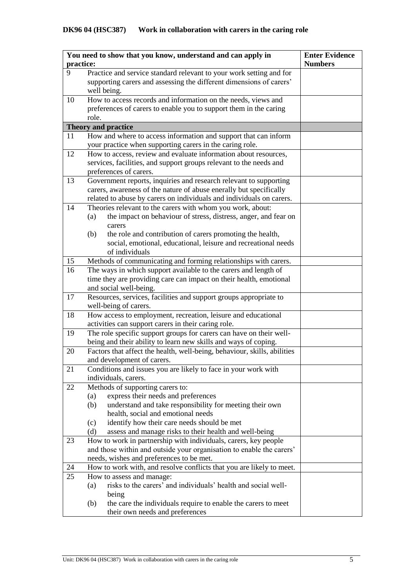|           | You need to show that you know, understand and can apply in<br><b>Enter Evidence</b>                                                   |                |  |  |  |  |
|-----------|----------------------------------------------------------------------------------------------------------------------------------------|----------------|--|--|--|--|
| practice: |                                                                                                                                        | <b>Numbers</b> |  |  |  |  |
| 9         | Practice and service standard relevant to your work setting and for                                                                    |                |  |  |  |  |
|           | supporting carers and assessing the different dimensions of carers'                                                                    |                |  |  |  |  |
|           | well being.                                                                                                                            |                |  |  |  |  |
| 10        | How to access records and information on the needs, views and                                                                          |                |  |  |  |  |
|           | preferences of carers to enable you to support them in the caring                                                                      |                |  |  |  |  |
|           | role.                                                                                                                                  |                |  |  |  |  |
|           | <b>Theory and practice</b>                                                                                                             |                |  |  |  |  |
| 11        | How and where to access information and support that can inform                                                                        |                |  |  |  |  |
|           | your practice when supporting carers in the caring role.                                                                               |                |  |  |  |  |
| 12        | How to access, review and evaluate information about resources,                                                                        |                |  |  |  |  |
|           | services, facilities, and support groups relevant to the needs and                                                                     |                |  |  |  |  |
|           | preferences of carers.                                                                                                                 |                |  |  |  |  |
| 13        | Government reports, inquiries and research relevant to supporting                                                                      |                |  |  |  |  |
|           | carers, awareness of the nature of abuse enerally but specifically                                                                     |                |  |  |  |  |
|           | related to abuse by carers on individuals and individuals on carers.                                                                   |                |  |  |  |  |
| 14        | Theories relevant to the carers with whom you work, about:                                                                             |                |  |  |  |  |
|           | the impact on behaviour of stress, distress, anger, and fear on<br>(a)                                                                 |                |  |  |  |  |
|           | carers                                                                                                                                 |                |  |  |  |  |
|           | the role and contribution of carers promoting the health,<br>(b)                                                                       |                |  |  |  |  |
|           | social, emotional, educational, leisure and recreational needs                                                                         |                |  |  |  |  |
|           | of individuals                                                                                                                         |                |  |  |  |  |
| 15        | Methods of communicating and forming relationships with carers.                                                                        |                |  |  |  |  |
| 16        | The ways in which support available to the carers and length of                                                                        |                |  |  |  |  |
|           | time they are providing care can impact on their health, emotional                                                                     |                |  |  |  |  |
|           | and social well-being.                                                                                                                 |                |  |  |  |  |
| 17        | Resources, services, facilities and support groups appropriate to                                                                      |                |  |  |  |  |
|           | well-being of carers.                                                                                                                  |                |  |  |  |  |
| 18        | How access to employment, recreation, leisure and educational                                                                          |                |  |  |  |  |
| 19        | activities can support carers in their caring role.                                                                                    |                |  |  |  |  |
|           | The role specific support groups for carers can have on their well-<br>being and their ability to learn new skills and ways of coping. |                |  |  |  |  |
| 20        | Factors that affect the health, well-being, behaviour, skills, abilities                                                               |                |  |  |  |  |
|           | and development of carers.                                                                                                             |                |  |  |  |  |
| 21        | Conditions and issues you are likely to face in your work with                                                                         |                |  |  |  |  |
|           | individuals, carers.                                                                                                                   |                |  |  |  |  |
| 22        | Methods of supporting carers to:                                                                                                       |                |  |  |  |  |
|           | express their needs and preferences<br>(a)                                                                                             |                |  |  |  |  |
|           | understand and take responsibility for meeting their own<br>(b)                                                                        |                |  |  |  |  |
|           | health, social and emotional needs                                                                                                     |                |  |  |  |  |
|           | identify how their care needs should be met<br>(c)                                                                                     |                |  |  |  |  |
|           | assess and manage risks to their health and well-being<br>(d)                                                                          |                |  |  |  |  |
| 23        | How to work in partnership with individuals, carers, key people                                                                        |                |  |  |  |  |
|           | and those within and outside your organisation to enable the carers'                                                                   |                |  |  |  |  |
|           | needs, wishes and preferences to be met.                                                                                               |                |  |  |  |  |
| 24        | How to work with, and resolve conflicts that you are likely to meet.                                                                   |                |  |  |  |  |
| 25        | How to assess and manage:                                                                                                              |                |  |  |  |  |
|           | risks to the carers' and individuals' health and social well-<br>(a)                                                                   |                |  |  |  |  |
|           | being                                                                                                                                  |                |  |  |  |  |
|           | the care the individuals require to enable the carers to meet<br>(b)                                                                   |                |  |  |  |  |
|           | their own needs and preferences                                                                                                        |                |  |  |  |  |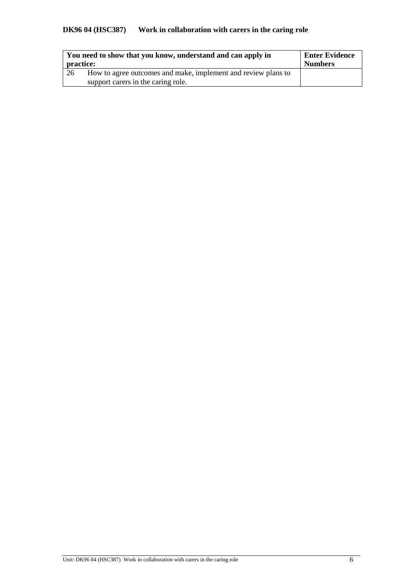# **DK96 04 (HSC387) Work in collaboration with carers in the caring role**

| practice: | You need to show that you know, understand and can apply in   | <b>Enter Evidence</b><br><b>Numbers</b> |  |
|-----------|---------------------------------------------------------------|-----------------------------------------|--|
| 26        | How to agree outcomes and make, implement and review plans to |                                         |  |
|           | support carers in the caring role.                            |                                         |  |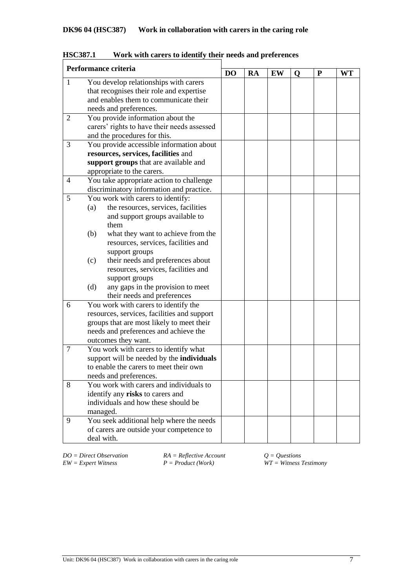|                | Performance criteria                             | D <sub>O</sub> | RA | EW | Q | P | WT |
|----------------|--------------------------------------------------|----------------|----|----|---|---|----|
| $\mathbf{1}$   | You develop relationships with carers            |                |    |    |   |   |    |
|                | that recognises their role and expertise         |                |    |    |   |   |    |
|                | and enables them to communicate their            |                |    |    |   |   |    |
|                | needs and preferences.                           |                |    |    |   |   |    |
| $\overline{2}$ | You provide information about the                |                |    |    |   |   |    |
|                | carers' rights to have their needs assessed      |                |    |    |   |   |    |
|                | and the procedures for this.                     |                |    |    |   |   |    |
| 3              | You provide accessible information about         |                |    |    |   |   |    |
|                | resources, services, facilities and              |                |    |    |   |   |    |
|                | support groups that are available and            |                |    |    |   |   |    |
|                | appropriate to the carers.                       |                |    |    |   |   |    |
| 4              | You take appropriate action to challenge         |                |    |    |   |   |    |
|                | discriminatory information and practice.         |                |    |    |   |   |    |
| 5              | You work with carers to identify:                |                |    |    |   |   |    |
|                | the resources, services, facilities<br>(a)       |                |    |    |   |   |    |
|                | and support groups available to                  |                |    |    |   |   |    |
|                | them                                             |                |    |    |   |   |    |
|                | (b)<br>what they want to achieve from the        |                |    |    |   |   |    |
|                | resources, services, facilities and              |                |    |    |   |   |    |
|                | support groups                                   |                |    |    |   |   |    |
|                | their needs and preferences about<br>(c)         |                |    |    |   |   |    |
|                | resources, services, facilities and              |                |    |    |   |   |    |
|                | support groups                                   |                |    |    |   |   |    |
|                | any gaps in the provision to meet<br>(d)         |                |    |    |   |   |    |
|                | their needs and preferences                      |                |    |    |   |   |    |
| 6              | You work with carers to identify the             |                |    |    |   |   |    |
|                | resources, services, facilities and support      |                |    |    |   |   |    |
|                | groups that are most likely to meet their        |                |    |    |   |   |    |
|                | needs and preferences and achieve the            |                |    |    |   |   |    |
|                | outcomes they want.                              |                |    |    |   |   |    |
| $\tau$         | You work with carers to identify what            |                |    |    |   |   |    |
|                | support will be needed by the <b>individuals</b> |                |    |    |   |   |    |
|                | to enable the carers to meet their own           |                |    |    |   |   |    |
|                | needs and preferences.                           |                |    |    |   |   |    |
| 8              | You work with carers and individuals to          |                |    |    |   |   |    |
|                | identify any risks to carers and                 |                |    |    |   |   |    |
|                | individuals and how these should be              |                |    |    |   |   |    |
|                | managed.                                         |                |    |    |   |   |    |
| 9              | You seek additional help where the needs         |                |    |    |   |   |    |
|                | of carers are outside your competence to         |                |    |    |   |   |    |
|                | deal with.                                       |                |    |    |   |   |    |

**HSC387.1 Work with carers to identify their needs and preferences**

*DO* = *Direct Observation RA* = *Reflective Account Q* = *Questions EW* = *Expert Witness P* = *Product* (*Work*) *WT* = *Witness Z* 

*EW = Expert Witness P = Product (Work) WT = Witness Testimony*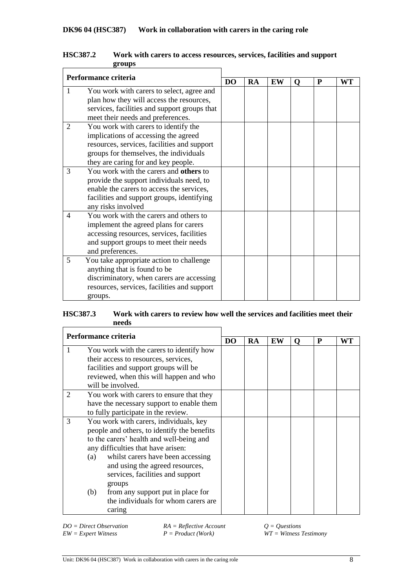| Performance criteria |                                                                                                                                                                                                              |           |           |    |          |   |    |
|----------------------|--------------------------------------------------------------------------------------------------------------------------------------------------------------------------------------------------------------|-----------|-----------|----|----------|---|----|
|                      |                                                                                                                                                                                                              | <b>DO</b> | <b>RA</b> | EW | $\Omega$ | P | WT |
| 1                    | You work with carers to select, agree and<br>plan how they will access the resources,<br>services, facilities and support groups that<br>meet their needs and preferences.                                   |           |           |    |          |   |    |
| 2                    | You work with carers to identify the<br>implications of accessing the agreed<br>resources, services, facilities and support<br>groups for themselves, the individuals<br>they are caring for and key people. |           |           |    |          |   |    |
| 3                    | You work with the carers and others to<br>provide the support individuals need, to<br>enable the carers to access the services,<br>facilities and support groups, identifying<br>any risks involved          |           |           |    |          |   |    |
| $\overline{4}$       | You work with the carers and others to<br>implement the agreed plans for carers<br>accessing resources, services, facilities<br>and support groups to meet their needs<br>and preferences.                   |           |           |    |          |   |    |
| 5                    | You take appropriate action to challenge<br>anything that is found to be<br>discriminatory, when carers are accessing<br>resources, services, facilities and support<br>groups.                              |           |           |    |          |   |    |

### **HSC387.2 Work with carers to access resources, services, facilities and support groups**

## **HSC387.3 Work with carers to review how well the services and facilities meet their needs**

| Performance criteria |                                                                                                                                   |                                           |    |           |    |          |   |    |
|----------------------|-----------------------------------------------------------------------------------------------------------------------------------|-------------------------------------------|----|-----------|----|----------|---|----|
|                      |                                                                                                                                   |                                           | DO | <b>RA</b> | EW | $\Omega$ | P | WT |
| 1                    |                                                                                                                                   | You work with the carers to identify how  |    |           |    |          |   |    |
|                      |                                                                                                                                   | their access to resources, services,      |    |           |    |          |   |    |
|                      |                                                                                                                                   | facilities and support groups will be     |    |           |    |          |   |    |
|                      |                                                                                                                                   | reviewed, when this will happen and who   |    |           |    |          |   |    |
|                      |                                                                                                                                   | will be involved.                         |    |           |    |          |   |    |
| 2                    |                                                                                                                                   | You work with carers to ensure that they  |    |           |    |          |   |    |
|                      |                                                                                                                                   | have the necessary support to enable them |    |           |    |          |   |    |
|                      |                                                                                                                                   | to fully participate in the review.       |    |           |    |          |   |    |
| 3                    | You work with carers, individuals, key<br>people and others, to identify the benefits<br>to the carers' health and well-being and |                                           |    |           |    |          |   |    |
|                      |                                                                                                                                   |                                           |    |           |    |          |   |    |
|                      |                                                                                                                                   |                                           |    |           |    |          |   |    |
|                      | any difficulties that have arisen:                                                                                                |                                           |    |           |    |          |   |    |
|                      | whilst carers have been accessing<br>(a)                                                                                          |                                           |    |           |    |          |   |    |
|                      |                                                                                                                                   | and using the agreed resources,           |    |           |    |          |   |    |
|                      |                                                                                                                                   | services, facilities and support          |    |           |    |          |   |    |
|                      |                                                                                                                                   | groups                                    |    |           |    |          |   |    |
|                      | (b)                                                                                                                               | from any support put in place for         |    |           |    |          |   |    |
|                      |                                                                                                                                   | the individuals for whom carers are       |    |           |    |          |   |    |
|                      |                                                                                                                                   | caring                                    |    |           |    |          |   |    |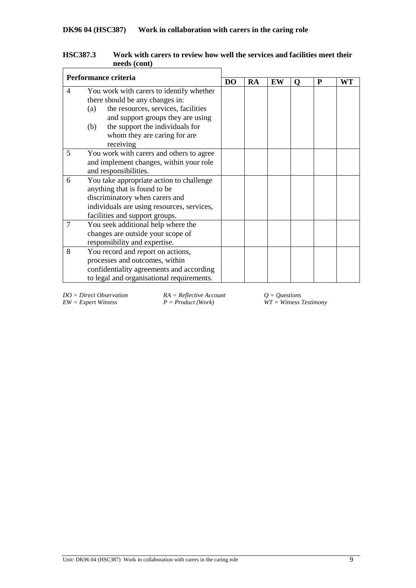| Performance criteria                       |                                            |           |    |    |   |   |    |
|--------------------------------------------|--------------------------------------------|-----------|----|----|---|---|----|
|                                            |                                            | <b>DO</b> | RA | EW | Q | P | WT |
| $\overline{4}$                             | You work with carers to identify whether   |           |    |    |   |   |    |
|                                            | there should be any changes in:            |           |    |    |   |   |    |
|                                            | the resources, services, facilities<br>(a) |           |    |    |   |   |    |
|                                            | and support groups they are using          |           |    |    |   |   |    |
|                                            | the support the individuals for<br>(b)     |           |    |    |   |   |    |
|                                            | whom they are caring for are               |           |    |    |   |   |    |
|                                            | receiving                                  |           |    |    |   |   |    |
| 5                                          | You work with carers and others to agree   |           |    |    |   |   |    |
|                                            | and implement changes, within your role    |           |    |    |   |   |    |
|                                            | and responsibilities.                      |           |    |    |   |   |    |
| 6                                          | You take appropriate action to challenge   |           |    |    |   |   |    |
|                                            | anything that is found to be               |           |    |    |   |   |    |
|                                            | discriminatory when carers and             |           |    |    |   |   |    |
| individuals are using resources, services, |                                            |           |    |    |   |   |    |
|                                            | facilities and support groups.             |           |    |    |   |   |    |
| $\overline{7}$                             | You seek additional help where the         |           |    |    |   |   |    |
|                                            | changes are outside your scope of          |           |    |    |   |   |    |
|                                            | responsibility and expertise.              |           |    |    |   |   |    |
| 8                                          | You record and report on actions,          |           |    |    |   |   |    |
|                                            | processes and outcomes, within             |           |    |    |   |   |    |
|                                            | confidentiality agreements and according   |           |    |    |   |   |    |
|                                            | to legal and organisational requirements.  |           |    |    |   |   |    |

| <b>HSC387.3</b> | Work with carers to review how well the services and facilities meet their |
|-----------------|----------------------------------------------------------------------------|
|                 | needs (cont)                                                               |
|                 |                                                                            |

*DO* = *Direct Observation RA* = *Reflective Account*  $Q = Q$ *uestions* <br>*EW* = *Expert Witness* <br>*P* = *Product* (*Work*) *WT* = *Witness* <br>*WT* = *Witness* <br>*P* = *Product* (*Work*)

 $\overline{WT} = \overline{W}$  *Witness Testimony*